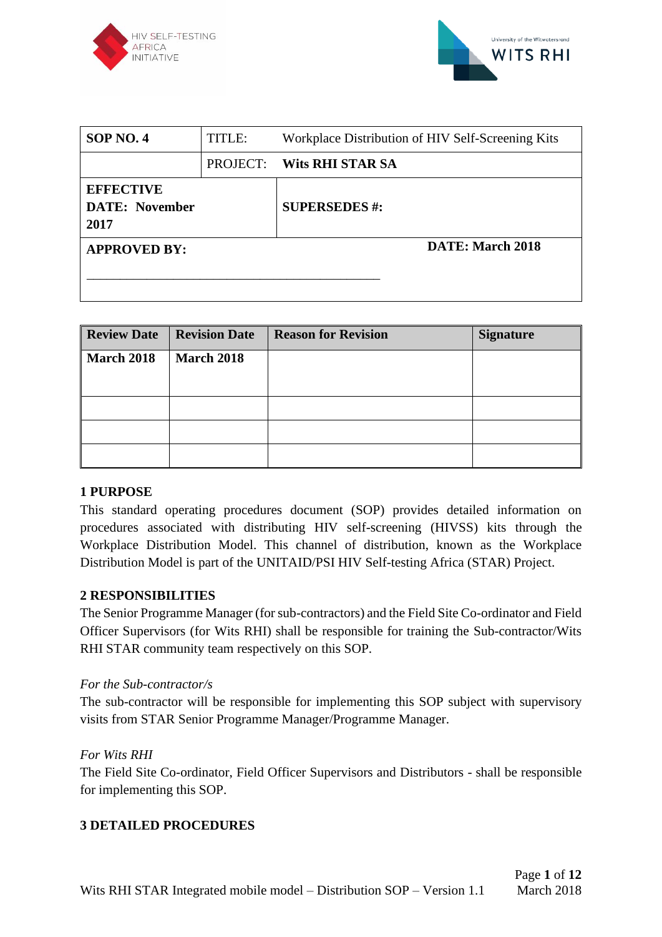



| <b>SOP NO. 4</b>                                  | TITLE: | Workplace Distribution of HIV Self-Screening Kits |
|---------------------------------------------------|--------|---------------------------------------------------|
|                                                   |        | <b>PROJECT: Wits RHI STAR SA</b>                  |
| <b>EFFECTIVE</b><br><b>DATE:</b> November<br>2017 |        | <b>SUPERSEDES #:</b>                              |
| <b>APPROVED BY:</b>                               |        | <b>DATE: March 2018</b>                           |

| <b>Review Date</b> | <b>Revision Date</b> | <b>Reason for Revision</b> | <b>Signature</b> |
|--------------------|----------------------|----------------------------|------------------|
| <b>March 2018</b>  | <b>March 2018</b>    |                            |                  |
|                    |                      |                            |                  |
|                    |                      |                            |                  |
|                    |                      |                            |                  |
|                    |                      |                            |                  |

### **1 PURPOSE**

This standard operating procedures document (SOP) provides detailed information on procedures associated with distributing HIV self-screening (HIVSS) kits through the Workplace Distribution Model. This channel of distribution, known as the Workplace Distribution Model is part of the UNITAID/PSI HIV Self-testing Africa (STAR) Project.

### **2 RESPONSIBILITIES**

The Senior Programme Manager (for sub-contractors) and the Field Site Co-ordinator and Field Officer Supervisors (for Wits RHI) shall be responsible for training the Sub-contractor/Wits RHI STAR community team respectively on this SOP.

#### *For the Sub-contractor/s*

The sub-contractor will be responsible for implementing this SOP subject with supervisory visits from STAR Senior Programme Manager/Programme Manager.

#### *For Wits RHI*

The Field Site Co-ordinator, Field Officer Supervisors and Distributors - shall be responsible for implementing this SOP.

#### **3 DETAILED PROCEDURES**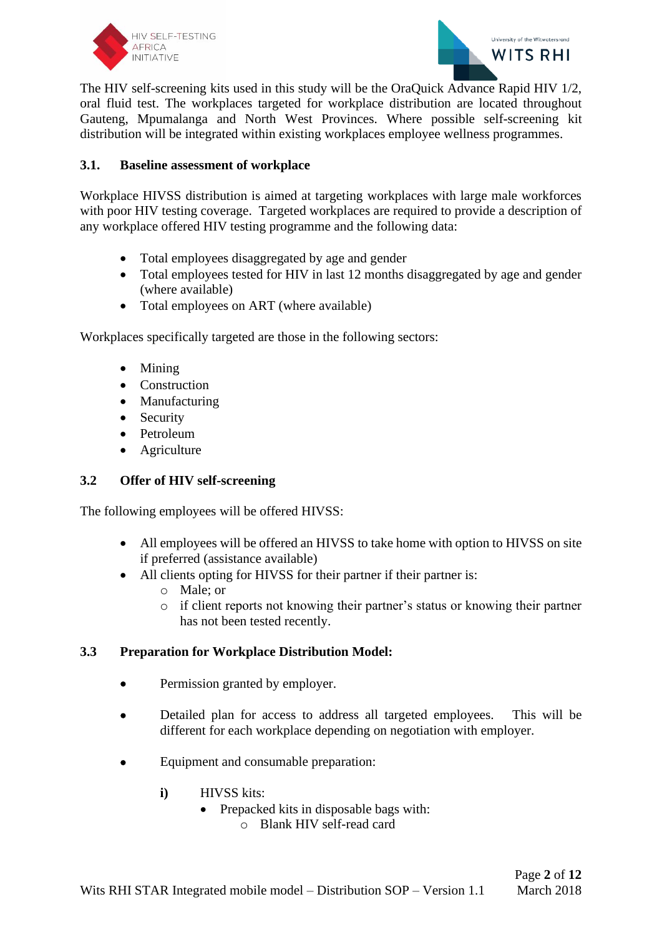



The HIV self-screening kits used in this study will be the OraQuick Advance Rapid HIV 1/2, oral fluid test. The workplaces targeted for workplace distribution are located throughout Gauteng, Mpumalanga and North West Provinces. Where possible self-screening kit distribution will be integrated within existing workplaces employee wellness programmes.

### **3.1. Baseline assessment of workplace**

Workplace HIVSS distribution is aimed at targeting workplaces with large male workforces with poor HIV testing coverage. Targeted workplaces are required to provide a description of any workplace offered HIV testing programme and the following data:

- Total employees disaggregated by age and gender
- Total employees tested for HIV in last 12 months disaggregated by age and gender (where available)
- Total employees on ART (where available)

Workplaces specifically targeted are those in the following sectors:

- Mining
- Construction
- Manufacturing
- Security
- Petroleum
- **Agriculture**

#### **3.2 Offer of HIV self-screening**

The following employees will be offered HIVSS:

- All employees will be offered an HIVSS to take home with option to HIVSS on site if preferred (assistance available)
- All clients opting for HIVSS for their partner if their partner is:
	- o Male; or
	- $\circ$  if client reports not knowing their partner's status or knowing their partner has not been tested recently.

#### **3.3 Preparation for Workplace Distribution Model:**

- Permission granted by employer.
- Detailed plan for access to address all targeted employees. This will be different for each workplace depending on negotiation with employer.
- Equipment and consumable preparation:
	- **i)** HIVSS kits:
		- Prepacked kits in disposable bags with:
			- o Blank HIV self-read card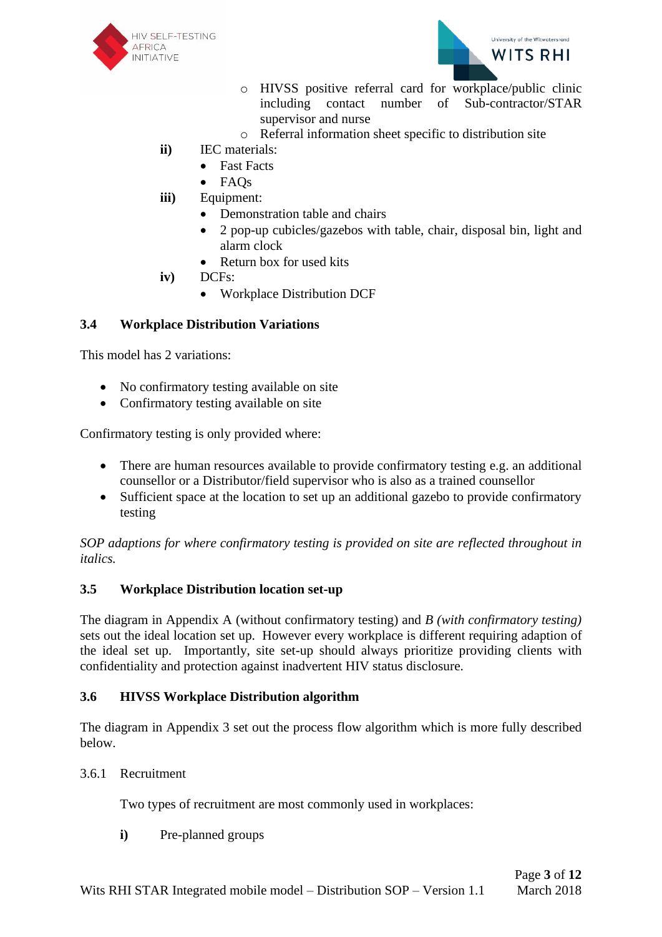



- o HIVSS positive referral card for workplace/public clinic including contact number of Sub-contractor/STAR supervisor and nurse
- o Referral information sheet specific to distribution site
- **ii)** IEC materials:
	- **Fast Facts**
	- FAQs
- **iii)** Equipment:
	- Demonstration table and chairs
	- 2 pop-up cubicles/gazebos with table, chair, disposal bin, light and alarm clock
	- Return box for used kits
- **iv)** DCFs:
	- Workplace Distribution DCF

## **3.4 Workplace Distribution Variations**

This model has 2 variations:

- No confirmatory testing available on site
- Confirmatory testing available on site

Confirmatory testing is only provided where:

- There are human resources available to provide confirmatory testing e.g. an additional counsellor or a Distributor/field supervisor who is also as a trained counsellor
- Sufficient space at the location to set up an additional gazebo to provide confirmatory testing

*SOP adaptions for where confirmatory testing is provided on site are reflected throughout in italics.*

### **3.5 Workplace Distribution location set-up**

The diagram in Appendix A (without confirmatory testing) and *B (with confirmatory testing)*  sets out the ideal location set up. However every workplace is different requiring adaption of the ideal set up. Importantly, site set-up should always prioritize providing clients with confidentiality and protection against inadvertent HIV status disclosure.

### **3.6 HIVSS Workplace Distribution algorithm**

The diagram in Appendix 3 set out the process flow algorithm which is more fully described below.

3.6.1 Recruitment

Two types of recruitment are most commonly used in workplaces:

**i)** Pre-planned groups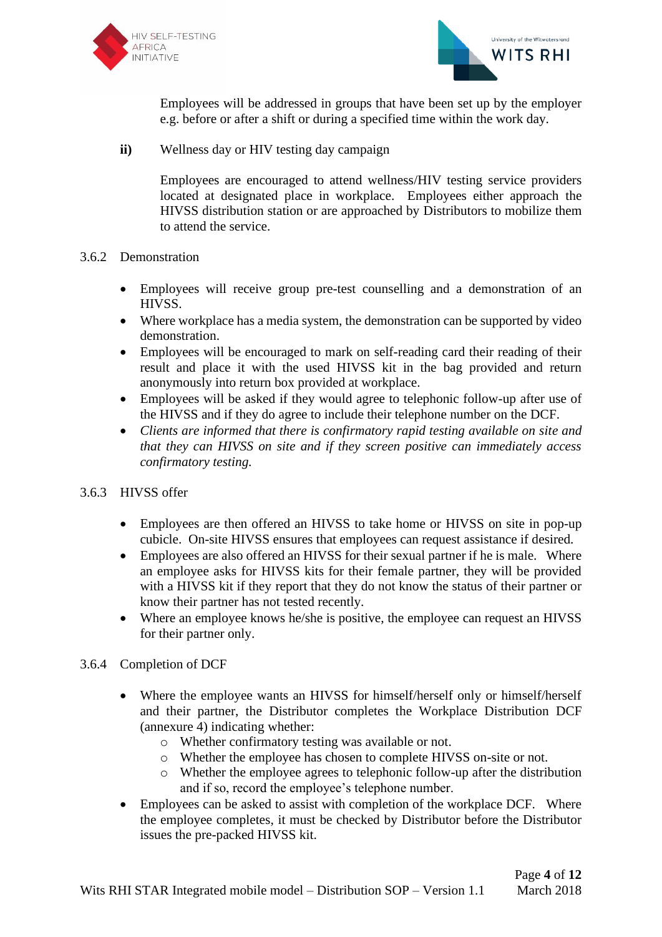



Employees will be addressed in groups that have been set up by the employer e.g. before or after a shift or during a specified time within the work day.

**ii)** Wellness day or HIV testing day campaign

Employees are encouraged to attend wellness/HIV testing service providers located at designated place in workplace. Employees either approach the HIVSS distribution station or are approached by Distributors to mobilize them to attend the service.

- 3.6.2 Demonstration
	- Employees will receive group pre-test counselling and a demonstration of an HIVSS.
	- Where workplace has a media system, the demonstration can be supported by video demonstration.
	- Employees will be encouraged to mark on self-reading card their reading of their result and place it with the used HIVSS kit in the bag provided and return anonymously into return box provided at workplace.
	- Employees will be asked if they would agree to telephonic follow-up after use of the HIVSS and if they do agree to include their telephone number on the DCF.
	- *Clients are informed that there is confirmatory rapid testing available on site and that they can HIVSS on site and if they screen positive can immediately access confirmatory testing.*
- 3.6.3 HIVSS offer
	- Employees are then offered an HIVSS to take home or HIVSS on site in pop-up cubicle. On-site HIVSS ensures that employees can request assistance if desired.
	- Employees are also offered an HIVSS for their sexual partner if he is male. Where an employee asks for HIVSS kits for their female partner, they will be provided with a HIVSS kit if they report that they do not know the status of their partner or know their partner has not tested recently.
	- Where an employee knows he/she is positive, the employee can request an HIVSS for their partner only.
- 3.6.4 Completion of DCF
	- Where the employee wants an HIVSS for himself/herself only or himself/herself and their partner, the Distributor completes the Workplace Distribution DCF (annexure 4) indicating whether:
		- o Whether confirmatory testing was available or not.
		- o Whether the employee has chosen to complete HIVSS on-site or not.
		- o Whether the employee agrees to telephonic follow-up after the distribution and if so, record the employee's telephone number.
	- Employees can be asked to assist with completion of the workplace DCF. Where the employee completes, it must be checked by Distributor before the Distributor issues the pre-packed HIVSS kit.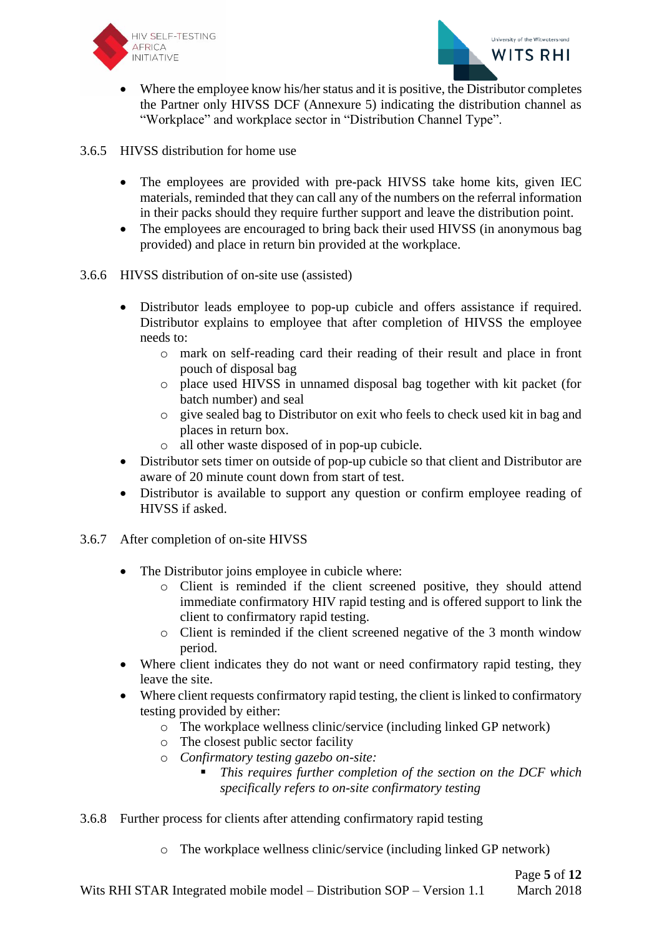



- Where the employee know his/her status and it is positive, the Distributor completes the Partner only HIVSS DCF (Annexure 5) indicating the distribution channel as "Workplace" and workplace sector in "Distribution Channel Type".
- 3.6.5 HIVSS distribution for home use
	- The employees are provided with pre-pack HIVSS take home kits, given IEC materials, reminded that they can call any of the numbers on the referral information in their packs should they require further support and leave the distribution point.
	- The employees are encouraged to bring back their used HIVSS (in anonymous bag) provided) and place in return bin provided at the workplace.
- 3.6.6 HIVSS distribution of on-site use (assisted)
	- Distributor leads employee to pop-up cubicle and offers assistance if required. Distributor explains to employee that after completion of HIVSS the employee needs to:
		- o mark on self-reading card their reading of their result and place in front pouch of disposal bag
		- o place used HIVSS in unnamed disposal bag together with kit packet (for batch number) and seal
		- o give sealed bag to Distributor on exit who feels to check used kit in bag and places in return box.
		- o all other waste disposed of in pop-up cubicle.
	- Distributor sets timer on outside of pop-up cubicle so that client and Distributor are aware of 20 minute count down from start of test.
	- Distributor is available to support any question or confirm employee reading of HIVSS if asked.
- 3.6.7 After completion of on-site HIVSS
	- The Distributor joins employee in cubicle where:
		- o Client is reminded if the client screened positive, they should attend immediate confirmatory HIV rapid testing and is offered support to link the client to confirmatory rapid testing.
		- o Client is reminded if the client screened negative of the 3 month window period.
	- Where client indicates they do not want or need confirmatory rapid testing, they leave the site.
	- Where client requests confirmatory rapid testing, the client is linked to confirmatory testing provided by either:
		- o The workplace wellness clinic/service (including linked GP network)
		- o The closest public sector facility
		- o *Confirmatory testing gazebo on-site:* 
			- This requires further completion of the section on the DCF which *specifically refers to on-site confirmatory testing*
- 3.6.8 Further process for clients after attending confirmatory rapid testing
	- o The workplace wellness clinic/service (including linked GP network)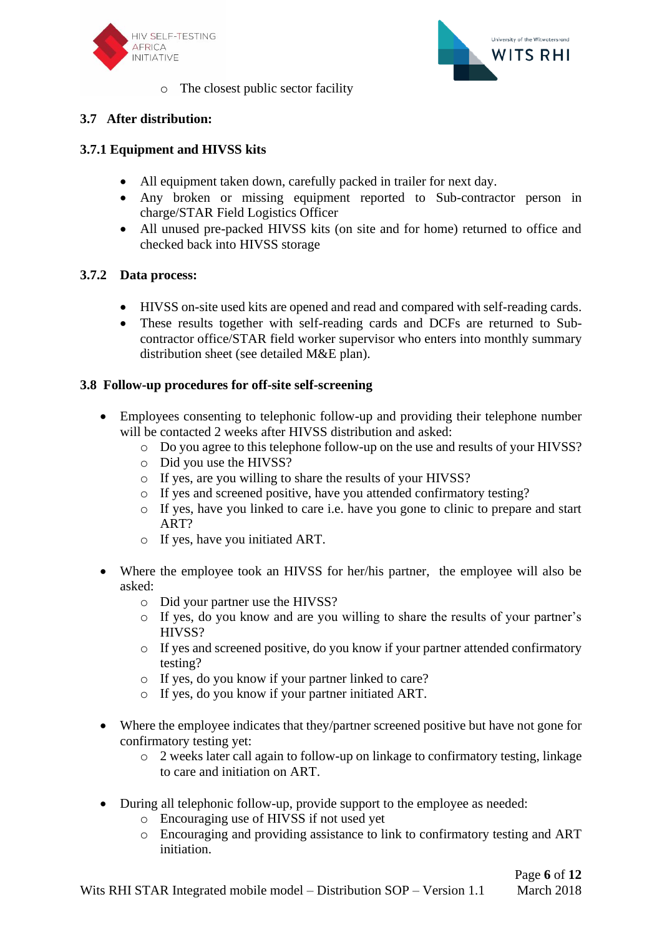



o The closest public sector facility

# **3.7 After distribution:**

# **3.7.1 Equipment and HIVSS kits**

- All equipment taken down, carefully packed in trailer for next day.
- Any broken or missing equipment reported to Sub-contractor person in charge/STAR Field Logistics Officer
- All unused pre-packed HIVSS kits (on site and for home) returned to office and checked back into HIVSS storage

## **3.7.2 Data process:**

- HIVSS on-site used kits are opened and read and compared with self-reading cards.
- These results together with self-reading cards and DCFs are returned to Subcontractor office/STAR field worker supervisor who enters into monthly summary distribution sheet (see detailed M&E plan).

## **3.8 Follow-up procedures for off-site self-screening**

- Employees consenting to telephonic follow-up and providing their telephone number will be contacted 2 weeks after HIVSS distribution and asked:
	- o Do you agree to this telephone follow-up on the use and results of your HIVSS?
	- o Did you use the HIVSS?
	- o If yes, are you willing to share the results of your HIVSS?
	- o If yes and screened positive, have you attended confirmatory testing?
	- o If yes, have you linked to care i.e. have you gone to clinic to prepare and start ART?
	- o If yes, have you initiated ART.
- Where the employee took an HIVSS for her/his partner, the employee will also be asked:
	- o Did your partner use the HIVSS?
	- o If yes, do you know and are you willing to share the results of your partner's HIVSS?
	- o If yes and screened positive, do you know if your partner attended confirmatory testing?
	- o If yes, do you know if your partner linked to care?
	- o If yes, do you know if your partner initiated ART.
- Where the employee indicates that they/partner screened positive but have not gone for confirmatory testing yet:
	- o 2 weeks later call again to follow-up on linkage to confirmatory testing, linkage to care and initiation on ART.
- During all telephonic follow-up, provide support to the employee as needed:
	- o Encouraging use of HIVSS if not used yet
	- o Encouraging and providing assistance to link to confirmatory testing and ART initiation.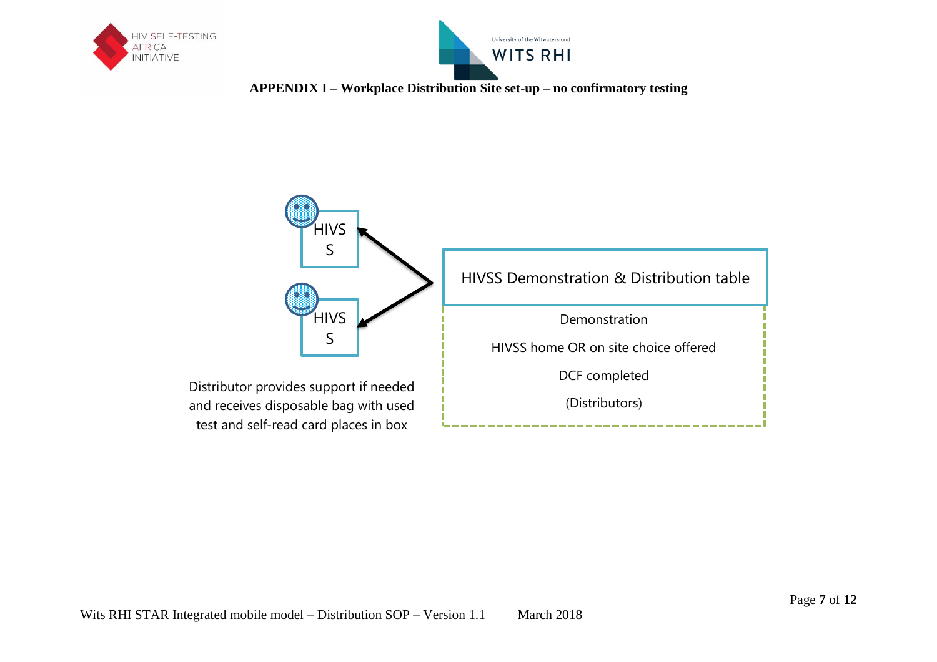



**APPENDIX I – Workplace Distribution Site set-up – no confirmatory testing**

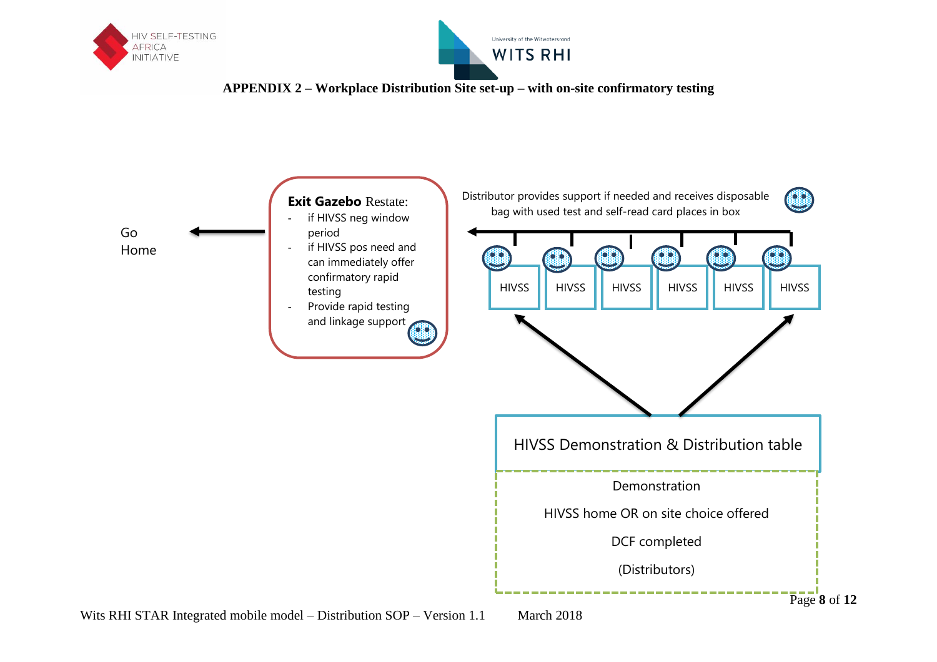





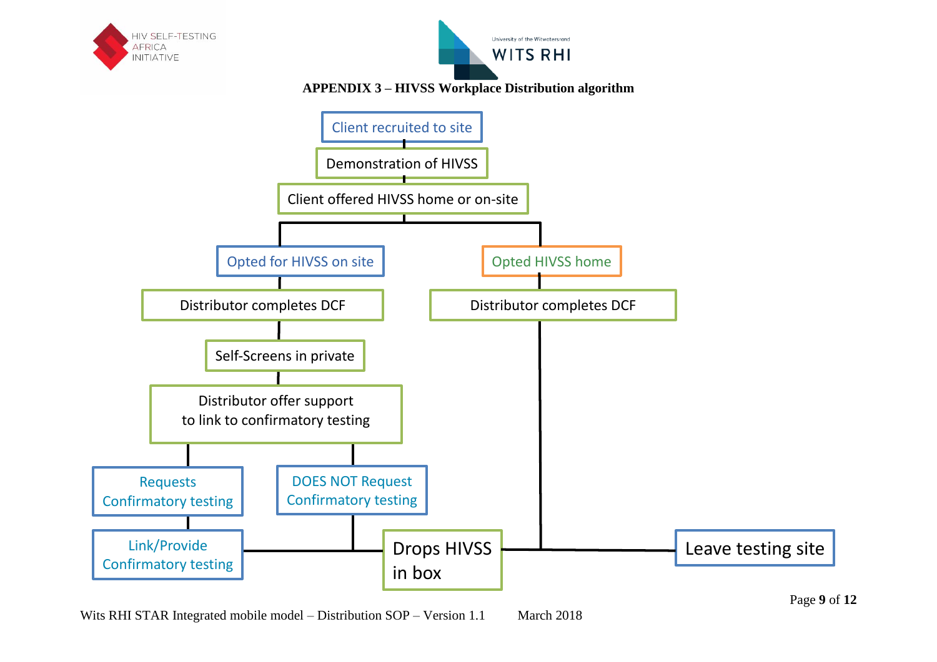

Wits RHI STAR Integrated mobile model – Distribution SOP – Version 1.1 March 2018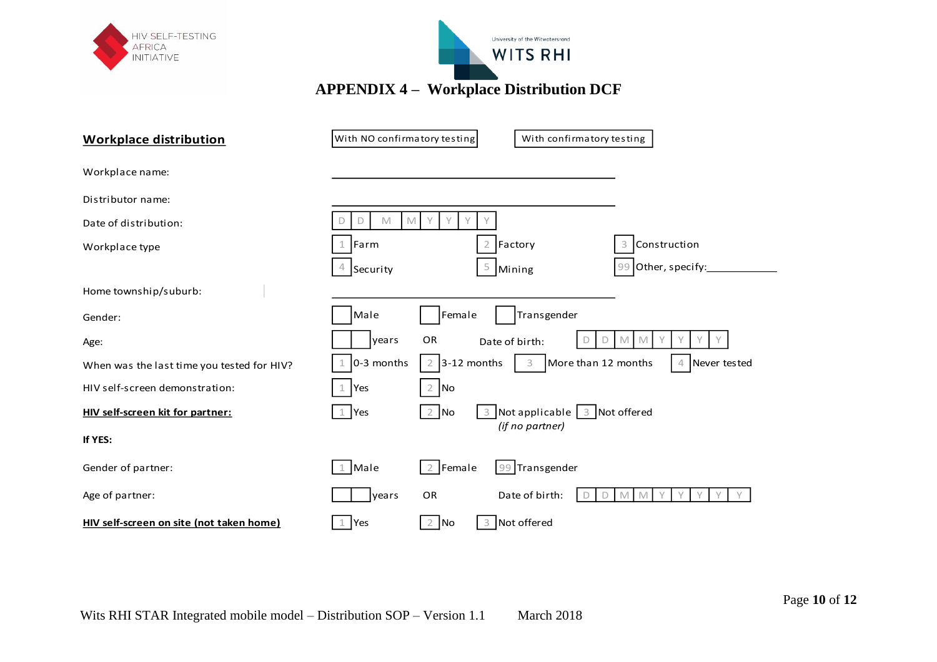| HIV SELF-TESTING<br><b>AFRICA</b><br><b>INITIATIVE</b> | University of the Witwatersrand<br><b>WITS RHI</b><br><b>APPENDIX 4 - Workplace Distribution DCF</b>                           |
|--------------------------------------------------------|--------------------------------------------------------------------------------------------------------------------------------|
|                                                        |                                                                                                                                |
| <b>Workplace distribution</b>                          | With NO confirmatory testing<br>With confirmatory testing                                                                      |
| Workplace name:                                        |                                                                                                                                |
| Distributor name:                                      |                                                                                                                                |
| Date of distribution:                                  | Y<br>M<br>$\mathbb M$<br>Y<br>Y<br>D                                                                                           |
| Workplace type                                         | Construction<br>Farm<br>$\overline{2}$<br>Factory<br>3                                                                         |
|                                                        | 99 Other, specify:<br>5 Mining<br>4<br>Security                                                                                |
| Home township/suburb:                                  |                                                                                                                                |
| Gender:                                                | Transgender<br>Male<br>Female                                                                                                  |
| Age:                                                   | OR<br>years<br>D<br>M<br>M<br>Date of birth:<br>D                                                                              |
| When was the last time you tested for HIV?             | 0-3 months<br>3-12 months<br>More than 12 months<br>3<br>$\overline{2}$<br>Never tested<br>4                                   |
| HIV self-screen demonstration:                         | No<br>Yes<br>$\overline{2}$                                                                                                    |
| HIV self-screen kit for partner:                       | Not applicable $\begin{array}{ c c c c c } \hline 3 & \hline \end{array}$ Not offered<br>$2$ No<br>Yes<br>3<br>(if no partner) |
| If YES:                                                |                                                                                                                                |
| Gender of partner:                                     | Male<br>Transgender<br>Female<br>$\overline{2}$<br>99<br>$\mathbf 1$                                                           |
| Age of partner:                                        | OR<br>Date of birth:<br>years<br>M<br>D<br>M                                                                                   |
| HIV self-screen on site (not taken home)               | $2$ No<br>3 Not offered<br>Yes<br>1                                                                                            |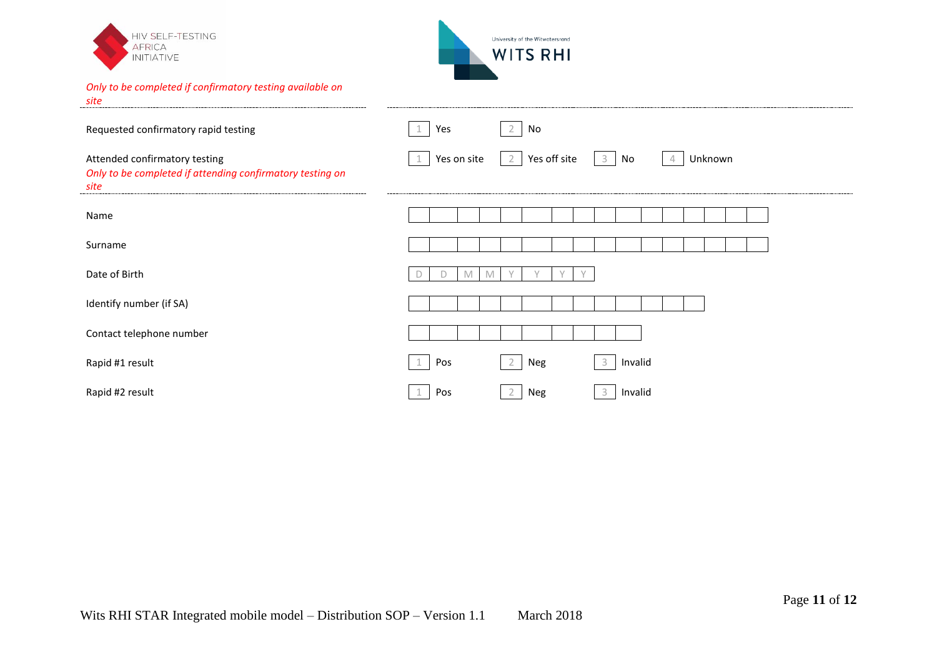